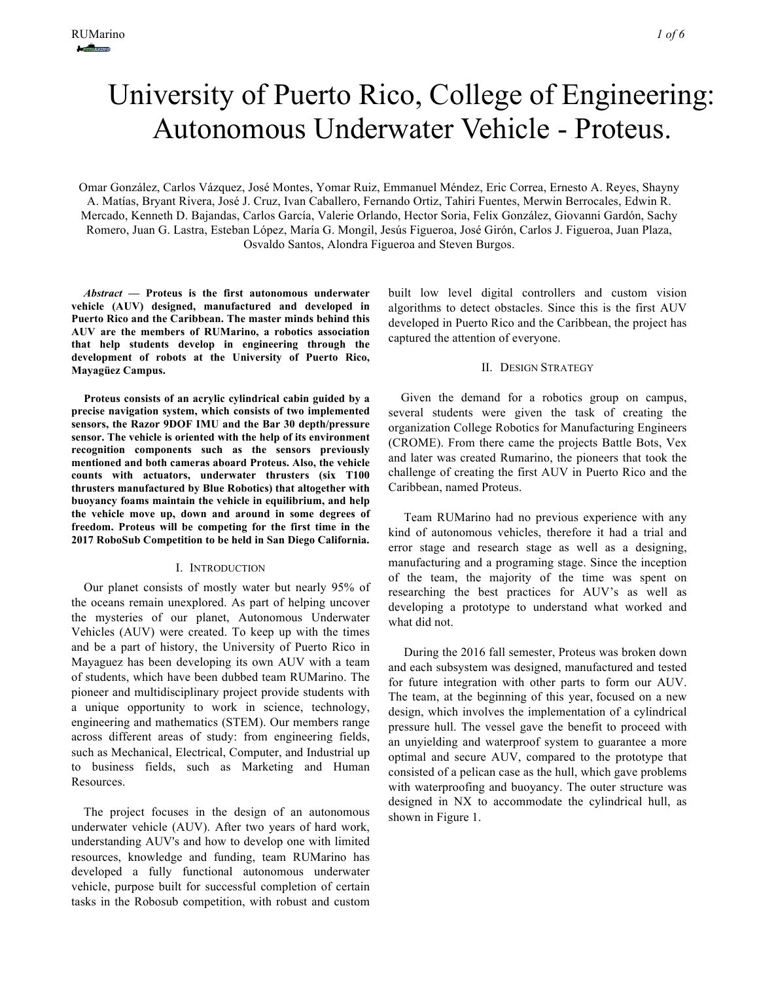# University of Puerto Rico, College of Engineering: Autonomous Underwater Vehicle - Proteus.

Omar González, Carlos Vázquez, José Montes, Yomar Ruiz, Emmanuel Méndez, Eric Correa, Ernesto A. Reyes, Shayny A. Matías, Bryant Rivera, José J. Cruz, Ivan Caballero, Fernando Ortiz, Tahiri Fuentes, Merwin Berrocales, Edwin R. Mercado, Kenneth D. Bajandas, Carlos García, Valerie Orlando, Hector Soria, Felix González, Giovanni Gardón, Sachy Romero, Juan G. Lastra, Esteban López, María G. Mongil, Jesús Figueroa, José Girón, Carlos J. Figueroa, Juan Plaza, Osvaldo Santos, Alondra Figueroa and Steven Burgos.

*Abstract* **— Proteus is the first autonomous underwater vehicle (AUV) designed, manufactured and developed in Puerto Rico and the Caribbean. The master minds behind this AUV are the members of RUMarino, a robotics association that help students develop in engineering through the development of robots at the University of Puerto Rico, Mayagüez Campus.**

**Proteus consists of an acrylic cylindrical cabin guided by a precise navigation system, which consists of two implemented sensors, the Razor 9DOF IMU and the Bar 30 depth/pressure sensor. The vehicle is oriented with the help of its environment recognition components such as the sensors previously mentioned and both cameras aboard Proteus. Also, the vehicle counts with actuators, underwater thrusters (six T100 thrusters manufactured by Blue Robotics) that altogether with buoyancy foams maintain the vehicle in equilibrium, and help the vehicle move up, down and around in some degrees of freedom. Proteus will be competing for the first time in the 2017 RoboSub Competition to be held in San Diego California.**

#### I. INTRODUCTION

Our planet consists of mostly water but nearly 95% of the oceans remain unexplored. As part of helping uncover the mysteries of our planet, Autonomous Underwater Vehicles (AUV) were created. To keep up with the times and be a part of history, the University of Puerto Rico in Mayaguez has been developing its own AUV with a team of students, which have been dubbed team RUMarino. The pioneer and multidisciplinary project provide students with a unique opportunity to work in science, technology, engineering and mathematics (STEM). Our members range across different areas of study: from engineering fields, such as Mechanical, Electrical, Computer, and Industrial up to business fields, such as Marketing and Human Resources.

The project focuses in the design of an autonomous underwater vehicle (AUV). After two years of hard work, understanding AUV's and how to develop one with limited resources, knowledge and funding, team RUMarino has developed a fully functional autonomous underwater vehicle, purpose built for successful completion of certain tasks in the Robosub competition, with robust and custom built low level digital controllers and custom vision algorithms to detect obstacles. Since this is the first AUV developed in Puerto Rico and the Caribbean, the project has captured the attention of everyone.

#### II. DESIGN STRATEGY

Given the demand for a robotics group on campus, several students were given the task of creating the organization College Robotics for Manufacturing Engineers (CROME). From there came the projects Battle Bots, Vex and later was created Rumarino, the pioneers that took the challenge of creating the first AUV in Puerto Rico and the Caribbean, named Proteus.

 Team RUMarino had no previous experience with any kind of autonomous vehicles, therefore it had a trial and error stage and research stage as well as a designing, manufacturing and a programing stage. Since the inception of the team, the majority of the time was spent on researching the best practices for AUV's as well as developing a prototype to understand what worked and what did not.

 During the 2016 fall semester, Proteus was broken down and each subsystem was designed, manufactured and tested for future integration with other parts to form our AUV. The team, at the beginning of this year, focused on a new design, which involves the implementation of a cylindrical pressure hull. The vessel gave the benefit to proceed with an unyielding and waterproof system to guarantee a more optimal and secure AUV, compared to the prototype that consisted of a pelican case as the hull, which gave problems with waterproofing and buoyancy. The outer structure was designed in NX to accommodate the cylindrical hull, as shown in Figure 1.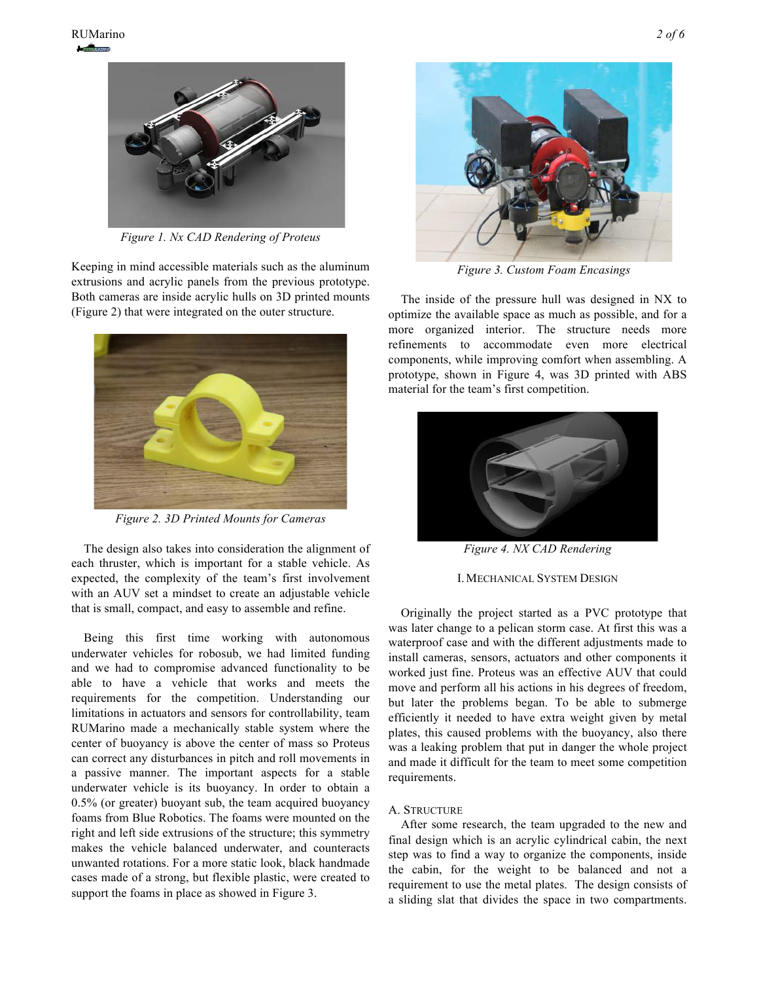

*Figure 1. Nx CAD Rendering of Proteus*

Keeping in mind accessible materials such as the aluminum extrusions and acrylic panels from the previous prototype. Both cameras are inside acrylic hulls on 3D printed mounts (Figure 2) that were integrated on the outer structure.



*Figure 2. 3D Printed Mounts for Cameras*

The design also takes into consideration the alignment of each thruster, which is important for a stable vehicle. As expected, the complexity of the team's first involvement with an AUV set a mindset to create an adjustable vehicle that is small, compact, and easy to assemble and refine.

Being this first time working with autonomous underwater vehicles for robosub, we had limited funding and we had to compromise advanced functionality to be able to have a vehicle that works and meets the requirements for the competition. Understanding our limitations in actuators and sensors for controllability, team RUMarino made a mechanically stable system where the center of buoyancy is above the center of mass so Proteus can correct any disturbances in pitch and roll movements in a passive manner. The important aspects for a stable underwater vehicle is its buoyancy. In order to obtain a 0.5% (or greater) buoyant sub, the team acquired buoyancy foams from Blue Robotics. The foams were mounted on the right and left side extrusions of the structure; this symmetry makes the vehicle balanced underwater, and counteracts unwanted rotations. For a more static look, black handmade cases made of a strong, but flexible plastic, were created to support the foams in place as showed in Figure 3.



*Figure 3. Custom Foam Encasings*

The inside of the pressure hull was designed in NX to optimize the available space as much as possible, and for a more organized interior. The structure needs more refinements to accommodate even more electrical components, while improving comfort when assembling. A prototype, shown in Figure 4, was 3D printed with ABS material for the team's first competition.



*Figure 4. NX CAD Rendering*

## I.MECHANICAL SYSTEM DESIGN

Originally the project started as a PVC prototype that was later change to a pelican storm case. At first this was a waterproof case and with the different adjustments made to install cameras, sensors, actuators and other components it worked just fine. Proteus was an effective AUV that could move and perform all his actions in his degrees of freedom, but later the problems began. To be able to submerge efficiently it needed to have extra weight given by metal plates, this caused problems with the buoyancy, also there was a leaking problem that put in danger the whole project and made it difficult for the team to meet some competition requirements.

## A. STRUCTURE

After some research, the team upgraded to the new and final design which is an acrylic cylindrical cabin, the next step was to find a way to organize the components, inside the cabin, for the weight to be balanced and not a requirement to use the metal plates. The design consists of a sliding slat that divides the space in two compartments.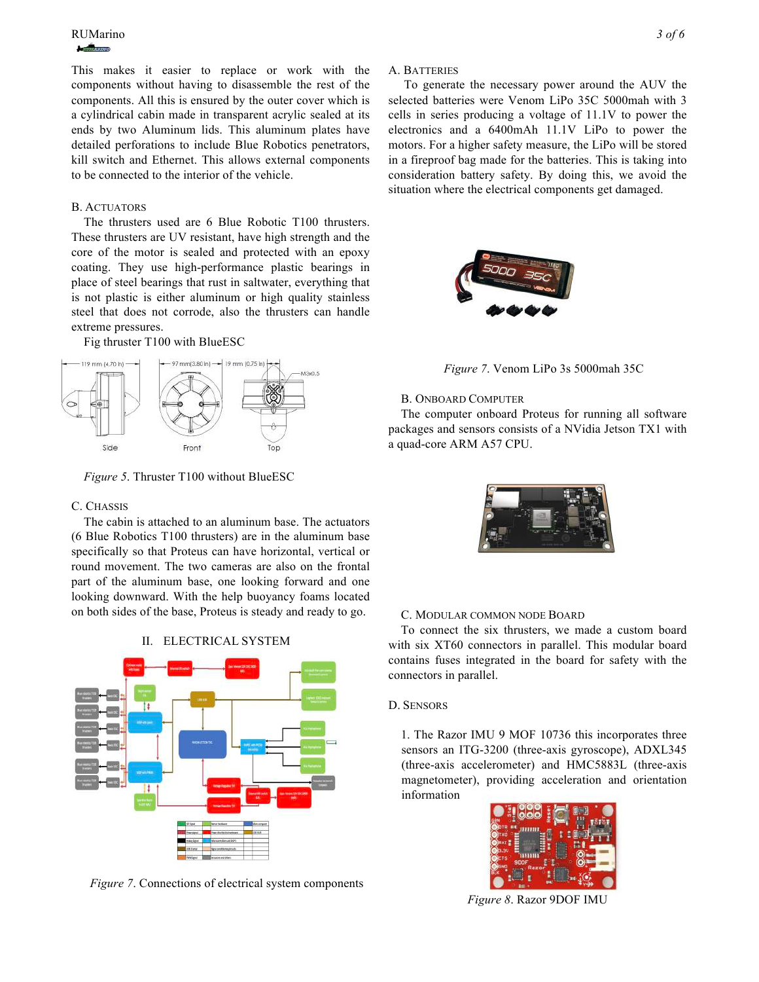This makes it easier to replace or work with the components without having to disassemble the rest of the components. All this is ensured by the outer cover which is a cylindrical cabin made in transparent acrylic sealed at its ends by two Aluminum lids. This aluminum plates have detailed perforations to include Blue Robotics penetrators, kill switch and Ethernet. This allows external components to be connected to the interior of the vehicle.

## B. ACTUATORS

The thrusters used are 6 Blue Robotic T100 thrusters. These thrusters are UV resistant, have high strength and the core of the motor is sealed and protected with an epoxy coating. They use high-performance plastic bearings in place of steel bearings that rust in saltwater, everything that is not plastic is either aluminum or high quality stainless steel that does not corrode, also the thrusters can handle extreme pressures.

Fig thruster T100 with BlueESC



*Figure 5*. Thruster T100 without BlueESC

## C. CHASSIS

The cabin is attached to an aluminum base. The actuators (6 Blue Robotics T100 thrusters) are in the aluminum base specifically so that Proteus can have horizontal, vertical or round movement. The two cameras are also on the frontal part of the aluminum base, one looking forward and one looking downward. With the help buoyancy foams located on both sides of the base, Proteus is steady and ready to go.





*Figure 7*. Connections of electrical system components

### A. BATTERIES

To generate the necessary power around the AUV the selected batteries were Venom LiPo 35C 5000mah with 3 cells in series producing a voltage of 11.1V to power the electronics and a 6400mAh 11.1V LiPo to power the motors. For a higher safety measure, the LiPo will be stored in a fireproof bag made for the batteries. This is taking into consideration battery safety. By doing this, we avoid the situation where the electrical components get damaged.



*Figure 7*. Venom LiPo 3s 5000mah 35C

#### B. ONBOARD COMPUTER

The computer onboard Proteus for running all software packages and sensors consists of a NVidia Jetson TX1 with a quad-core ARM A57 CPU.



#### C. MODULAR COMMON NODE BOARD

To connect the six thrusters, we made a custom board with six XT60 connectors in parallel. This modular board contains fuses integrated in the board for safety with the connectors in parallel.

#### D. SENSORS

1. The Razor IMU 9 MOF 10736 this incorporates three sensors an ITG-3200 (three-axis gyroscope), ADXL345 (three-axis accelerometer) and HMC5883L (three-axis magnetometer), providing acceleration and orientation information



*Figure 8*. Razor 9DOF IMU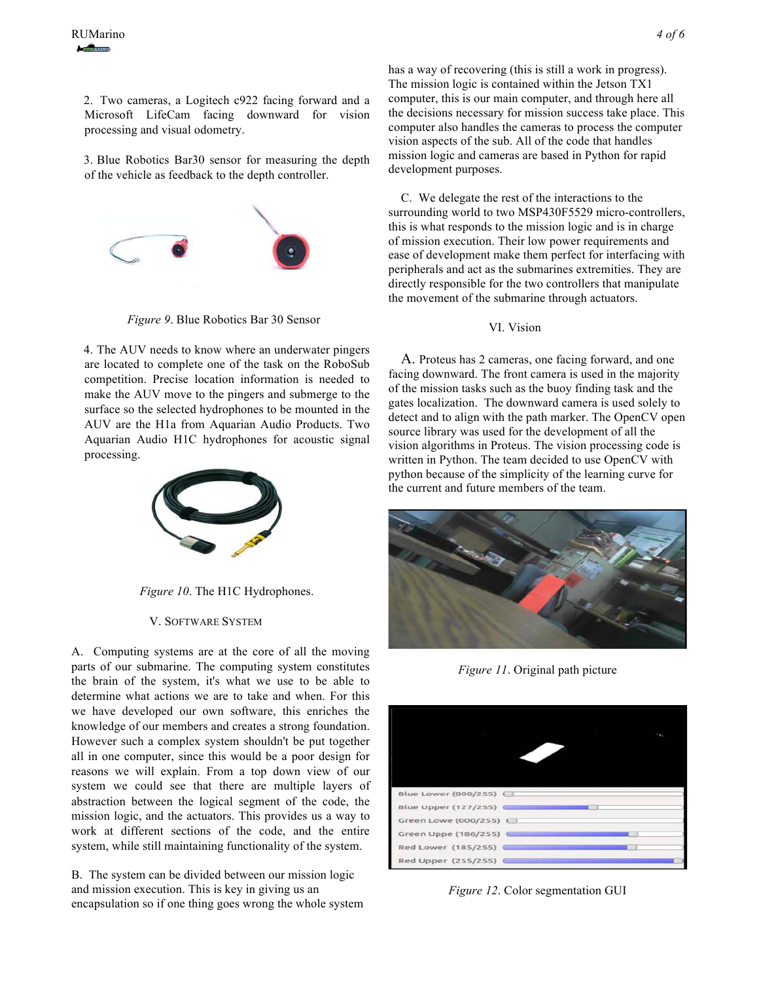2. Two cameras, a Logitech c922 facing forward and a Microsoft LifeCam facing downward for vision processing and visual odometry.

3. Blue Robotics Bar30 sensor for measuring the depth of the vehicle as feedback to the depth controller.



*Figure 9*. Blue Robotics Bar 30 Sensor

4. The AUV needs to know where an underwater pingers are located to complete one of the task on the RoboSub competition. Precise location information is needed to make the AUV move to the pingers and submerge to the surface so the selected hydrophones to be mounted in the AUV are the H1a from Aquarian Audio Products. Two Aquarian Audio H1C hydrophones for acoustic signal processing.



*Figure 10*. The H1C Hydrophones.

### V. SOFTWARE SYSTEM

A. Computing systems are at the core of all the moving parts of our submarine. The computing system constitutes the brain of the system, it's what we use to be able to determine what actions we are to take and when. For this we have developed our own software, this enriches the knowledge of our members and creates a strong foundation. However such a complex system shouldn't be put together all in one computer, since this would be a poor design for reasons we will explain. From a top down view of our system we could see that there are multiple layers of abstraction between the logical segment of the code, the mission logic, and the actuators. This provides us a way to work at different sections of the code, and the entire system, while still maintaining functionality of the system.

B. The system can be divided between our mission logic and mission execution. This is key in giving us an encapsulation so if one thing goes wrong the whole system has a way of recovering (this is still a work in progress). The mission logic is contained within the Jetson TX1 computer, this is our main computer, and through here all the decisions necessary for mission success take place. This computer also handles the cameras to process the computer vision aspects of the sub. All of the code that handles mission logic and cameras are based in Python for rapid development purposes.

C. We delegate the rest of the interactions to the surrounding world to two MSP430F5529 micro-controllers, this is what responds to the mission logic and is in charge of mission execution. Their low power requirements and ease of development make them perfect for interfacing with peripherals and act as the submarines extremities. They are directly responsible for the two controllers that manipulate the movement of the submarine through actuators.

#### VI. Vision

A. Proteus has 2 cameras, one facing forward, and one facing downward. The front camera is used in the majority of the mission tasks such as the buoy finding task and the gates localization. The downward camera is used solely to detect and to align with the path marker. The OpenCV open source library was used for the development of all the vision algorithms in Proteus. The vision processing code is written in Python. The team decided to use OpenCV with python because of the simplicity of the learning curve for the current and future members of the team.



*Figure 11*. Original path picture

|                       |  | ۰. |
|-----------------------|--|----|
| Blue Lower (000/255)  |  |    |
| Blue Upper (127/255)  |  |    |
| Green Lowe (000/255)  |  |    |
| Green Uppe (186/255)  |  |    |
| Red Lower (185/255) C |  |    |
| Red Upper (255/255)   |  |    |

*Figure 12*. Color segmentation GUI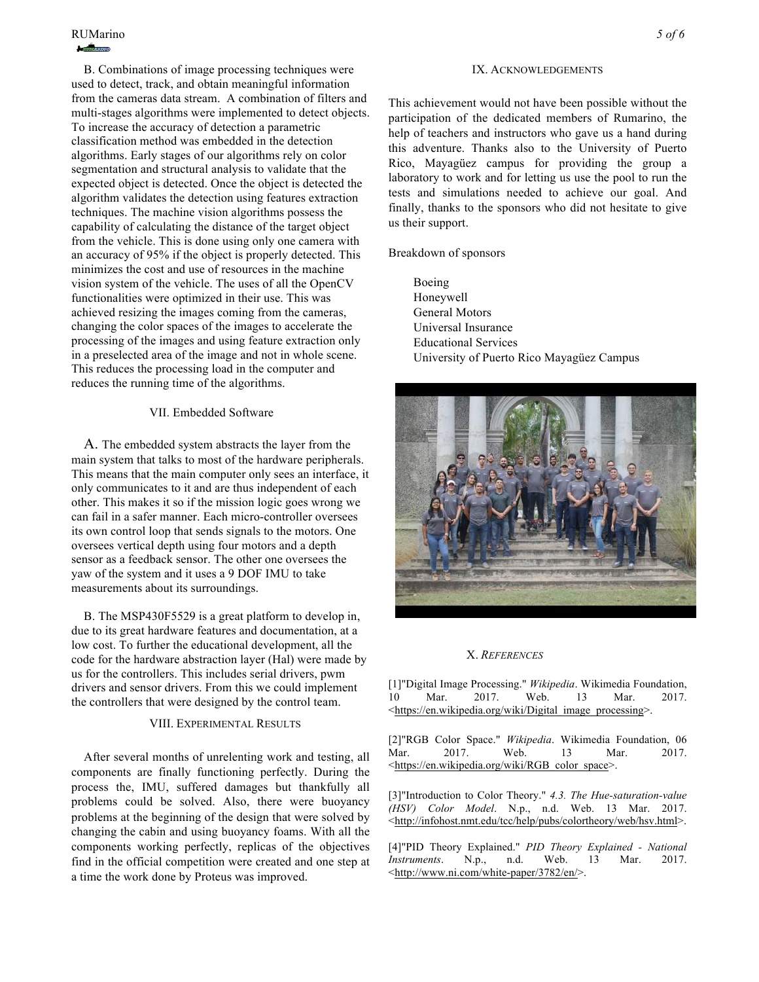#### RUMarino *5 of 6 <u>Angeles verste</u>*

B. Combinations of image processing techniques were used to detect, track, and obtain meaningful information from the cameras data stream. A combination of filters and multi-stages algorithms were implemented to detect objects. To increase the accuracy of detection a parametric classification method was embedded in the detection algorithms. Early stages of our algorithms rely on color segmentation and structural analysis to validate that the expected object is detected. Once the object is detected the algorithm validates the detection using features extraction techniques. The machine vision algorithms possess the capability of calculating the distance of the target object from the vehicle. This is done using only one camera with an accuracy of 95% if the object is properly detected. This minimizes the cost and use of resources in the machine vision system of the vehicle. The uses of all the OpenCV functionalities were optimized in their use. This was achieved resizing the images coming from the cameras, changing the color spaces of the images to accelerate the processing of the images and using feature extraction only in a preselected area of the image and not in whole scene. This reduces the processing load in the computer and reduces the running time of the algorithms.

## VII. Embedded Software

A. The embedded system abstracts the layer from the main system that talks to most of the hardware peripherals. This means that the main computer only sees an interface, it only communicates to it and are thus independent of each other. This makes it so if the mission logic goes wrong we can fail in a safer manner. Each micro-controller oversees its own control loop that sends signals to the motors. One oversees vertical depth using four motors and a depth sensor as a feedback sensor. The other one oversees the yaw of the system and it uses a 9 DOF IMU to take measurements about its surroundings.

B. The MSP430F5529 is a great platform to develop in, due to its great hardware features and documentation, at a low cost. To further the educational development, all the code for the hardware abstraction layer (Hal) were made by us for the controllers. This includes serial drivers, pwm drivers and sensor drivers. From this we could implement the controllers that were designed by the control team.

## VIII. EXPERIMENTAL RESULTS

After several months of unrelenting work and testing, all components are finally functioning perfectly. During the process the, IMU, suffered damages but thankfully all problems could be solved. Also, there were buoyancy problems at the beginning of the design that were solved by changing the cabin and using buoyancy foams. With all the components working perfectly, replicas of the objectives find in the official competition were created and one step at a time the work done by Proteus was improved.

## IX. ACKNOWLEDGEMENTS

This achievement would not have been possible without the participation of the dedicated members of Rumarino, the help of teachers and instructors who gave us a hand during this adventure. Thanks also to the University of Puerto Rico, Mayagüez campus for providing the group a laboratory to work and for letting us use the pool to run the tests and simulations needed to achieve our goal. And finally, thanks to the sponsors who did not hesitate to give us their support.

Breakdown of sponsors

Boeing Honeywell General Motors Universal Insurance Educational Services University of Puerto Rico Mayagüez Campus



## X. *REFERENCES*

[1]"Digital Image Processing." *Wikipedia*. Wikimedia Foundation, 10 Mar. 2017. Web. 13 Mar. 2017. <https://en.wikipedia.org/wiki/Digital\_image\_processing>.

[2]"RGB Color Space." *Wikipedia*. Wikimedia Foundation, 06 Mar. 2017. Web. 13 Mar. 2017. <https://en.wikipedia.org/wiki/RGB\_color\_space>.

[3]"Introduction to Color Theory." *4.3. The Hue-saturation-value (HSV) Color Model*. N.p., n.d. Web. 13 Mar. 2017. <http://infohost.nmt.edu/tcc/help/pubs/colortheory/web/hsv.html>.

[4]"PID Theory Explained." *PID Theory Explained - National Instruments*. N.p., n.d. Web. 13 Mar. 2017. <http://www.ni.com/white-paper/3782/en/>.